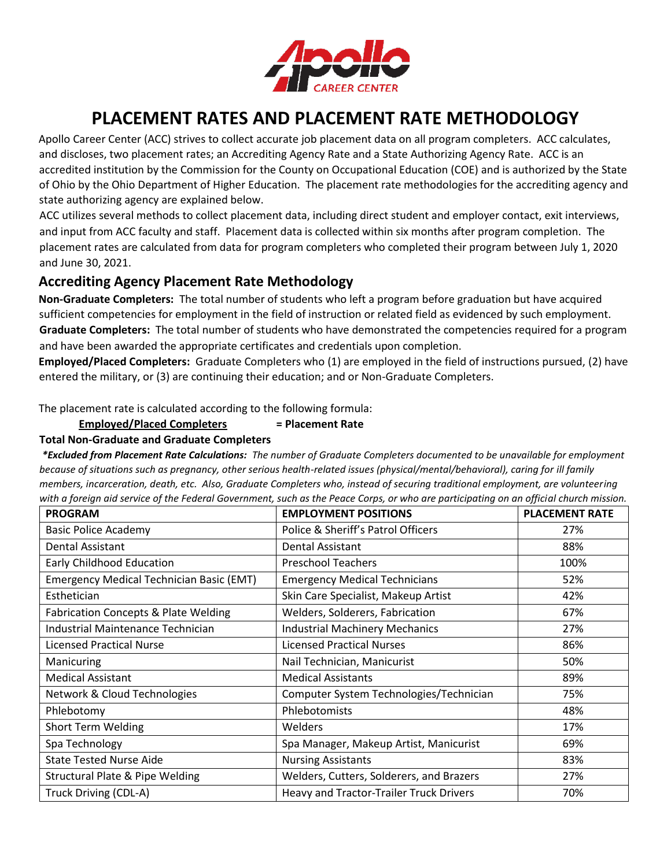

# **PLACEMENT RATES AND PLACEMENT RATE METHODOLOGY**

Apollo Career Center (ACC) strives to collect accurate job placement data on all program completers. ACC calculates, and discloses, two placement rates; an Accrediting Agency Rate and a State Authorizing Agency Rate. ACC is an accredited institution by the Commission for the County on Occupational Education (COE) and is authorized by the State of Ohio by the Ohio Department of Higher Education. The placement rate methodologies for the accrediting agency and state authorizing agency are explained below.

ACC utilizes several methods to collect placement data, including direct student and employer contact, exit interviews, and input from ACC faculty and staff. Placement data is collected within six months after program completion. The placement rates are calculated from data for program completers who completed their program between July 1, 2020 and June 30, 2021.

## **Accrediting Agency Placement Rate Methodology**

**Non-Graduate Completers:** The total number of students who left a program before graduation but have acquired sufficient competencies for employment in the field of instruction or related field as evidenced by such employment. **Graduate Completers:** The total number of students who have demonstrated the competencies required for a program and have been awarded the appropriate certificates and credentials upon completion.

**Employed/Placed Completers:** Graduate Completers who (1) are employed in the field of instructions pursued, (2) have entered the military, or (3) are continuing their education; and or Non-Graduate Completers.

The placement rate is calculated according to the following formula:

#### **Employed/Placed Completers = Placement Rate**

#### **Total Non-Graduate and Graduate Completers**

*\*Excluded from Placement Rate Calculations: The number of Graduate Completers documented to be unavailable for employment because of situations such as pregnancy, other serious health-related issues (physical/mental/behavioral), caring for ill family members, incarceration, death, etc. Also, Graduate Completers who, instead of securing traditional employment, are volunteering with a foreign aid service of the Federal Government, such as the Peace Corps, or who are participating on an official church mission.* 

| <b>PROGRAM</b>                                  | <b>EMPLOYMENT POSITIONS</b>              | <b>PLACEMENT RATE</b> |
|-------------------------------------------------|------------------------------------------|-----------------------|
| <b>Basic Police Academy</b>                     | Police & Sheriff's Patrol Officers       | 27%                   |
| Dental Assistant                                | Dental Assistant                         | 88%                   |
| Early Childhood Education                       | <b>Preschool Teachers</b>                | 100%                  |
| <b>Emergency Medical Technician Basic (EMT)</b> | <b>Emergency Medical Technicians</b>     | 52%                   |
| Esthetician                                     | Skin Care Specialist, Makeup Artist      | 42%                   |
| <b>Fabrication Concepts &amp; Plate Welding</b> | Welders, Solderers, Fabrication          | 67%                   |
| Industrial Maintenance Technician               | <b>Industrial Machinery Mechanics</b>    | 27%                   |
| <b>Licensed Practical Nurse</b>                 | <b>Licensed Practical Nurses</b>         | 86%                   |
| Manicuring                                      | Nail Technician, Manicurist              | 50%                   |
| <b>Medical Assistant</b>                        | <b>Medical Assistants</b>                | 89%                   |
| Network & Cloud Technologies                    | Computer System Technologies/Technician  | 75%                   |
| Phlebotomy                                      | Phlebotomists                            | 48%                   |
| <b>Short Term Welding</b>                       | <b>Welders</b>                           | 17%                   |
| Spa Technology                                  | Spa Manager, Makeup Artist, Manicurist   | 69%                   |
| <b>State Tested Nurse Aide</b>                  | <b>Nursing Assistants</b>                | 83%                   |
| <b>Structural Plate &amp; Pipe Welding</b>      | Welders, Cutters, Solderers, and Brazers | 27%                   |
| Truck Driving (CDL-A)                           | Heavy and Tractor-Trailer Truck Drivers  | 70%                   |